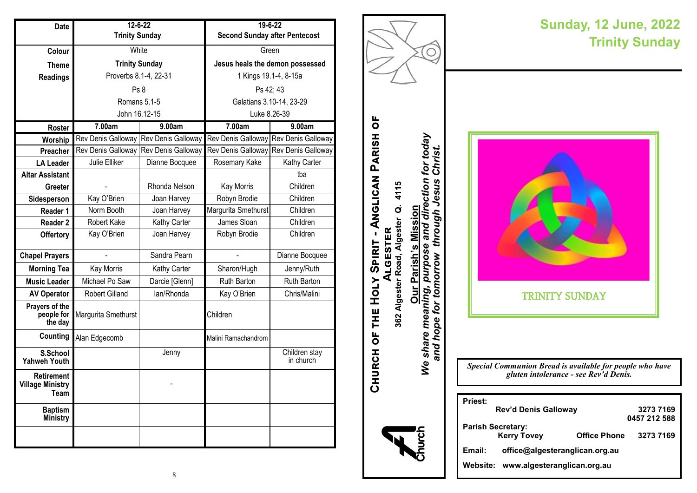| Date                                                 |                       | $12 - 6 - 22$      | 19-6-22                              |                                       |
|------------------------------------------------------|-----------------------|--------------------|--------------------------------------|---------------------------------------|
|                                                      | <b>Trinity Sunday</b> |                    | <b>Second Sunday after Pentecost</b> |                                       |
| Colour                                               | White                 |                    | Green                                |                                       |
| <b>Theme</b>                                         | <b>Trinity Sunday</b> |                    | Jesus heals the demon possessed      |                                       |
| <b>Readings</b>                                      | Proverbs 8.1-4, 22-31 |                    | 1 Kings 19.1-4, 8-15a                |                                       |
|                                                      |                       | Ps <sub>8</sub>    | Ps 42; 43                            |                                       |
|                                                      |                       | Romans 5.1-5       | Galatians 3.10-14, 23-29             |                                       |
|                                                      |                       | John 16.12-15      | Luke 8.26-39                         |                                       |
| Roster                                               | 7.00am                | 9.00am             | 7.00am                               | 9.00am                                |
| Worship                                              | Rev Denis Galloway    | Rev Denis Galloway |                                      | Rev Denis Galloway Rev Denis Galloway |
| Preacher                                             | Rev Denis Galloway    | Rev Denis Galloway | Rev Denis Galloway                   | Rev Denis Galloway                    |
| <b>LA Leader</b>                                     | Julie Elliker         | Dianne Bocquee     | Rosemary Kake                        | Kathy Carter                          |
| <b>Altar Assistant</b>                               |                       |                    |                                      | tba                                   |
| Greeter                                              |                       | Rhonda Nelson      | Kay Morris                           | Children                              |
| Sidesperson                                          | Kay O'Brien           | Joan Harvey        | Robyn Brodie                         | Children                              |
| Reader 1                                             | Norm Booth            | Joan Harvey        | Margurita Smethurst                  | Children                              |
| <b>Reader 2</b>                                      | Robert Kake           | Kathy Carter       | James Sloan                          | Children                              |
| Offertory                                            | Kay O'Brien           | Joan Harvey        | Robyn Brodie                         | Children                              |
| <b>Chapel Prayers</b>                                |                       | Sandra Pearn       |                                      | Dianne Bocquee                        |
| <b>Morning Tea</b>                                   | Kay Morris            | Kathy Carter       | Sharon/Hugh                          | Jenny/Ruth                            |
| <b>Music Leader</b>                                  | Michael Po Saw        | Darcie [Glenn]     | Ruth Barton                          | Ruth Barton                           |
| <b>AV Operator</b>                                   | <b>Robert Gilland</b> | lan/Rhonda         | Kay O'Brien                          | Chris/Malini                          |
| Prayers of the<br>people for<br>the day              | Margurita Smethurst   |                    | Children                             |                                       |
| Counting                                             | Alan Edgecomb         |                    | Malini Ramachandrom                  |                                       |
| S.School<br><b>Yahweh Youth</b>                      |                       | Jenny              |                                      | Children stay<br>in church            |
| <b>Retirement</b><br><b>Village Ministry</b><br>Team |                       |                    |                                      |                                       |
| <b>Baptism</b><br>Ministry                           |                       |                    |                                      |                                       |
|                                                      |                       |                    |                                      |                                       |



3273 7169<br>0457 212 588

3273 7169

#### $\,8\,$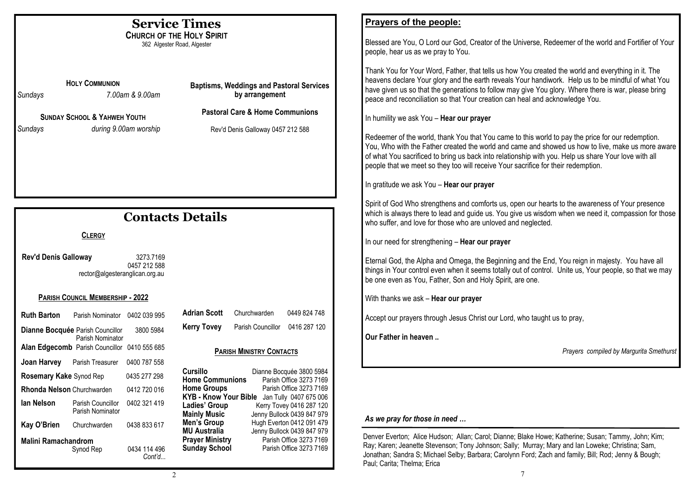|                                                                 |                                                                                           |                           | <b>Service Times</b>                                                                                                                                 | Prayers of the people:                                                                                                                                                                                                                                                                                                                                                                                                                                                                                                                                                                                                                                                                                                                                                                                                                                                                           |
|-----------------------------------------------------------------|-------------------------------------------------------------------------------------------|---------------------------|------------------------------------------------------------------------------------------------------------------------------------------------------|--------------------------------------------------------------------------------------------------------------------------------------------------------------------------------------------------------------------------------------------------------------------------------------------------------------------------------------------------------------------------------------------------------------------------------------------------------------------------------------------------------------------------------------------------------------------------------------------------------------------------------------------------------------------------------------------------------------------------------------------------------------------------------------------------------------------------------------------------------------------------------------------------|
| <b>CHURCH OF THE HOLY SPIRIT</b><br>362 Algester Road, Algester |                                                                                           |                           |                                                                                                                                                      | Blessed are You, O Lord our God, Creator of the Universe, Redeemer of the world and Fortifier of Your<br>people, hear us as we pray to You.                                                                                                                                                                                                                                                                                                                                                                                                                                                                                                                                                                                                                                                                                                                                                      |
| Sundays<br>Sundays                                              | <b>HOLY COMMUNION</b><br><b>SUNDAY SCHOOL &amp; YAHWEH YOUTH</b><br>during 9.00am worship | 7.00am & 9.00am           | <b>Baptisms, Weddings and Pastoral Services</b><br>by arrangement<br><b>Pastoral Care &amp; Home Communions</b><br>Rev'd Denis Galloway 0457 212 588 | Thank You for Your Word, Father, that tells us how You created the world and everything in it. The<br>heavens declare Your glory and the earth reveals Your handiwork. Help us to be mindful of what You<br>have given us so that the generations to follow may give You glory. Where there is war, please bring<br>peace and reconciliation so that Your creation can heal and acknowledge You.<br>In humility we ask You - Hear our prayer<br>Redeemer of the world, thank You that You came to this world to pay the price for our redemption.<br>You, Who with the Father created the world and came and showed us how to live, make us more aware<br>of what You sacrificed to bring us back into relationship with you. Help us share Your love with all<br>people that we meet so they too will receive Your sacrifice for their redemption.<br>In gratitude we ask You - Hear our prayer |
| <b>Contacts Details</b>                                         |                                                                                           |                           |                                                                                                                                                      | Spirit of God Who strengthens and comforts us, open our hearts to the awareness of Your presence<br>which is always there to lead and guide us. You give us wisdom when we need it, compassion for those<br>who suffer, and love for those who are unloved and neglected.                                                                                                                                                                                                                                                                                                                                                                                                                                                                                                                                                                                                                        |
|                                                                 | <b>CLERGY</b>                                                                             |                           |                                                                                                                                                      | In our need for strengthening - Hear our prayer                                                                                                                                                                                                                                                                                                                                                                                                                                                                                                                                                                                                                                                                                                                                                                                                                                                  |
| Rev'd Denis Galloway                                            | rector@algesteranglican.org.au                                                            | 3273.7169<br>0457 212 588 |                                                                                                                                                      | Eternal God, the Alpha and Omega, the Beginning and the End, You reign in majesty. You have all<br>things in Your control even when it seems totally out of control. Unite us, Your people, so that we may<br>be one even as You, Father, Son and Holy Spirit, are one.                                                                                                                                                                                                                                                                                                                                                                                                                                                                                                                                                                                                                          |
|                                                                 | PARISH COUNCIL MEMBERSHIP - 2022                                                          |                           |                                                                                                                                                      | With thanks we ask - Hear our prayer                                                                                                                                                                                                                                                                                                                                                                                                                                                                                                                                                                                                                                                                                                                                                                                                                                                             |
| <b>Ruth Barton</b>                                              | Parish Nominator 0402 039 995                                                             |                           | <b>Adrian Scott</b><br>0449 824 748<br>Churchwarden<br><b>Kerry Tovey</b><br>Parish Councillor 0416 287 120                                          | Accept our prayers through Jesus Christ our Lord, who taught us to pray,                                                                                                                                                                                                                                                                                                                                                                                                                                                                                                                                                                                                                                                                                                                                                                                                                         |
| Dianne Bocquée Parish Councillor                                | Parish Nominator                                                                          | 3800 5984                 |                                                                                                                                                      | Our Father in heaven                                                                                                                                                                                                                                                                                                                                                                                                                                                                                                                                                                                                                                                                                                                                                                                                                                                                             |
|                                                                 | Alan Edgecomb Parish Councillor 0410 555 685                                              |                           | <b>PARISH MINISTRY CONTACTS</b>                                                                                                                      | Prayers compiled by Margurita Smethurst                                                                                                                                                                                                                                                                                                                                                                                                                                                                                                                                                                                                                                                                                                                                                                                                                                                          |
|                                                                 | Joan Harvey Parish Treasurer 0400 787 558                                                 |                           | Cursillo<br>Dianne Bocquée 3800 5984                                                                                                                 |                                                                                                                                                                                                                                                                                                                                                                                                                                                                                                                                                                                                                                                                                                                                                                                                                                                                                                  |
| Rosemary Kake Synod Rep                                         |                                                                                           | 0435 277 298              | Home Communions Parish Office 3273 7169                                                                                                              |                                                                                                                                                                                                                                                                                                                                                                                                                                                                                                                                                                                                                                                                                                                                                                                                                                                                                                  |
| Rhonda Nelson Churchwarden                                      |                                                                                           | 0412 720 016              | Parish Office 3273 7169<br><b>Home Groups</b><br>KYB - Know Your Bible Jan Tully 0407 675 006                                                        |                                                                                                                                                                                                                                                                                                                                                                                                                                                                                                                                                                                                                                                                                                                                                                                                                                                                                                  |
| lan Nelson                                                      | Parish Councillor<br>Parish Nominator                                                     | 0402 321 419              | Ladies' Group<br>Kerry Tovey 0416 287 120<br><b>Mainly Music</b><br>Jenny Bullock 0439 847 979                                                       | As we pray for those in need                                                                                                                                                                                                                                                                                                                                                                                                                                                                                                                                                                                                                                                                                                                                                                                                                                                                     |
| Kay O'Brien                                                     | Churchwarden                                                                              | 0438 833 617              | Men's Group<br>Hugh Everton 0412 091 479<br><b>MU Australia</b><br>Jenny Bullock 0439 847 979                                                        |                                                                                                                                                                                                                                                                                                                                                                                                                                                                                                                                                                                                                                                                                                                                                                                                                                                                                                  |
|                                                                 | <b>Malini Ramachandrom</b>                                                                |                           | <b>Prayer Ministry</b><br>Parish Office 3273 7169<br><b>Sunday School</b><br>Parish Office 3273 7169                                                 | Denver Everton; Alice Hudson; Allan; Carol; Dianne; Blake Howe; Katherine; Susan; Tammy, John; Kim;<br>Ray; Karen; Jeanette Stevenson; Tony Johnson; Sally; Murray; Mary and Ian Loweke; Christina; Sam,                                                                                                                                                                                                                                                                                                                                                                                                                                                                                                                                                                                                                                                                                         |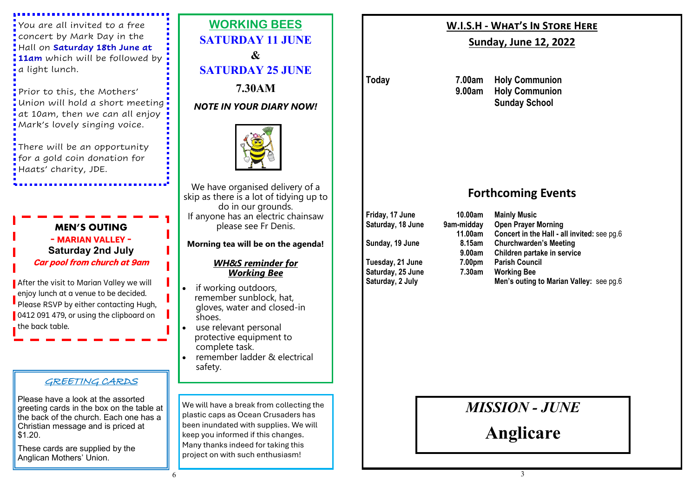You are all invited to a free concert by Mark Day in the Hall on **Saturday 18th June at 11am** which will be followed by a light lunch.

Prior to this, the Mothers' Union will hold a short meeting  $\overline{\phantom{a}}$  at 10am, then we can all enjoy Mark's lovely singing voice.

There will be an opportunity **f** for a gold coin donation for Haats' charity, JDE.

# **MEN'S OUTING - MARIAN VALLEY - Saturday 2nd July Car pool from church at 9am**

After the visit to Marian Valley we will enjoy lunch at a venue to be decided. Please RSVP by either contacting Hugh, 0412 091 479, or using the clipboard on the back table.

## GREETING CARDS

Please have a look at the assorted greeting cards in the box on the table at the back of the church. Each one has a Christian message and is priced at \$1.20.

These cards are supplied by the Anglican Mothers' Union.



*NOTE IN YOUR DIARY NOW!*



We have organised delivery of a skip as there is a lot of tidying up to do in our grounds. If anyone has an electric chainsaw please see Fr Denis.

## **Morning tea will be on the agenda!**

## *WH&S reminder for Working Bee*

- if working outdoors, remember sunblock, hat, gloves, water and closed-in shoes.
- use relevant personal protective equipment to complete task.
- remember ladder & electrical safety.

We will have a break from collecting the plastic caps as Ocean Crusaders has been inundated with supplies. We will keep you informed if this changes. Many thanks indeed for taking this project on with such enthusiasm!

# **W.I.S.H - What's In Store Here**

# **Sunday, June 12, 2022**

**Today 7.00am Holy Communion 9.00am Holy Communion Sunday School**

# **Forthcoming Events**

**Friday, 17 June 10.00am Mainly Music**

**Saturday, 25 June 7.30am Working Bee**

**Saturday, 18 June 9am-midday Open Prayer Morning 11.00am Concert in the Hall - all invited:** see pg.6 **Sunday, 19 June 8.15am Churchwarden's Meeting 9.00am Children partake in service Tuesday, 21 June 7.00pm Parish Council Men's outing to Marian Valley: see pg.6** 

# *MISSION - JUNE*

**Anglicare**